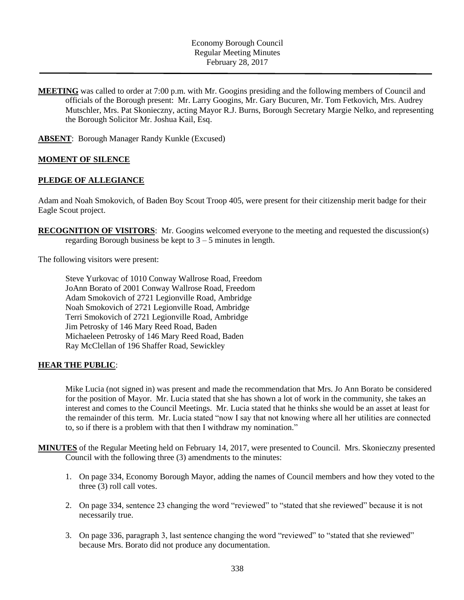## Economy Borough Council Regular Meeting Minutes February 28, 2017

**MEETING** was called to order at 7:00 p.m. with Mr. Googins presiding and the following members of Council and officials of the Borough present: Mr. Larry Googins, Mr. Gary Bucuren, Mr. Tom Fetkovich, Mrs. Audrey Mutschler, Mrs. Pat Skonieczny, acting Mayor R.J. Burns, Borough Secretary Margie Nelko, and representing the Borough Solicitor Mr. Joshua Kail, Esq.

**ABSENT**: Borough Manager Randy Kunkle (Excused)

#### **MOMENT OF SILENCE**

#### **PLEDGE OF ALLEGIANCE**

Adam and Noah Smokovich, of Baden Boy Scout Troop 405, were present for their citizenship merit badge for their Eagle Scout project.

**RECOGNITION OF VISITORS**: Mr. Googins welcomed everyone to the meeting and requested the discussion(s) regarding Borough business be kept to 3 – 5 minutes in length.

The following visitors were present:

Steve Yurkovac of 1010 Conway Wallrose Road, Freedom JoAnn Borato of 2001 Conway Wallrose Road, Freedom Adam Smokovich of 2721 Legionville Road, Ambridge Noah Smokovich of 2721 Legionville Road, Ambridge Terri Smokovich of 2721 Legionville Road, Ambridge Jim Petrosky of 146 Mary Reed Road, Baden Michaeleen Petrosky of 146 Mary Reed Road, Baden Ray McClellan of 196 Shaffer Road, Sewickley

### **HEAR THE PUBLIC**:

Mike Lucia (not signed in) was present and made the recommendation that Mrs. Jo Ann Borato be considered for the position of Mayor. Mr. Lucia stated that she has shown a lot of work in the community, she takes an interest and comes to the Council Meetings. Mr. Lucia stated that he thinks she would be an asset at least for the remainder of this term. Mr. Lucia stated "now I say that not knowing where all her utilities are connected to, so if there is a problem with that then I withdraw my nomination."

- **MINUTES** of the Regular Meeting held on February 14, 2017, were presented to Council. Mrs. Skonieczny presented Council with the following three (3) amendments to the minutes:
	- 1. On page 334, Economy Borough Mayor, adding the names of Council members and how they voted to the three (3) roll call votes.
	- 2. On page 334, sentence 23 changing the word "reviewed" to "stated that she reviewed" because it is not necessarily true.
	- 3. On page 336, paragraph 3, last sentence changing the word "reviewed" to "stated that she reviewed" because Mrs. Borato did not produce any documentation.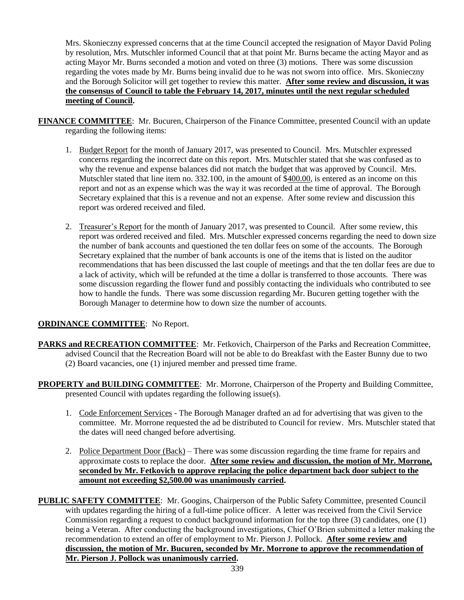Mrs. Skonieczny expressed concerns that at the time Council accepted the resignation of Mayor David Poling by resolution, Mrs. Mutschler informed Council that at that point Mr. Burns became the acting Mayor and as acting Mayor Mr. Burns seconded a motion and voted on three (3) motions. There was some discussion regarding the votes made by Mr. Burns being invalid due to he was not sworn into office. Mrs. Skonieczny and the Borough Solicitor will get together to review this matter. **After some review and discussion, it was the consensus of Council to table the February 14, 2017, minutes until the next regular scheduled meeting of Council.**

- **FINANCE COMMITTEE**: Mr. Bucuren, Chairperson of the Finance Committee, presented Council with an update regarding the following items:
	- 1. Budget Report for the month of January 2017, was presented to Council. Mrs. Mutschler expressed concerns regarding the incorrect date on this report. Mrs. Mutschler stated that she was confused as to why the revenue and expense balances did not match the budget that was approved by Council. Mrs. Mutschler stated that line item no. 332.100, in the amount of \$400.00, is entered as an income on this report and not as an expense which was the way it was recorded at the time of approval. The Borough Secretary explained that this is a revenue and not an expense. After some review and discussion this report was ordered received and filed.
	- 2. Treasurer's Report for the month of January 2017, was presented to Council. After some review, this report was ordered received and filed. Mrs. Mutschler expressed concerns regarding the need to down size the number of bank accounts and questioned the ten dollar fees on some of the accounts. The Borough Secretary explained that the number of bank accounts is one of the items that is listed on the auditor recommendations that has been discussed the last couple of meetings and that the ten dollar fees are due to a lack of activity, which will be refunded at the time a dollar is transferred to those accounts. There was some discussion regarding the flower fund and possibly contacting the individuals who contributed to see how to handle the funds. There was some discussion regarding Mr. Bucuren getting together with the Borough Manager to determine how to down size the number of accounts.

# **ORDINANCE COMMITTEE**: No Report.

- **PARKS and RECREATION COMMITTEE**: Mr. Fetkovich, Chairperson of the Parks and Recreation Committee, advised Council that the Recreation Board will not be able to do Breakfast with the Easter Bunny due to two (2) Board vacancies, one (1) injured member and pressed time frame.
- **PROPERTY and BUILDING COMMITTEE**: Mr. Morrone, Chairperson of the Property and Building Committee, presented Council with updates regarding the following issue(s).
	- 1. Code Enforcement Services The Borough Manager drafted an ad for advertising that was given to the committee. Mr. Morrone requested the ad be distributed to Council for review. Mrs. Mutschler stated that the dates will need changed before advertising.
	- 2. Police Department Door (Back) There was some discussion regarding the time frame for repairs and approximate costs to replace the door. **After some review and discussion, the motion of Mr. Morrone, seconded by Mr. Fetkovich to approve replacing the police department back door subject to the amount not exceeding \$2,500.00 was unanimously carried.**

**PUBLIC SAFETY COMMITTEE**: Mr. Googins, Chairperson of the Public Safety Committee, presented Council with updates regarding the hiring of a full-time police officer. A letter was received from the Civil Service Commission regarding a request to conduct background information for the top three (3) candidates, one (1) being a Veteran. After conducting the background investigations, Chief O'Brien submitted a letter making the recommendation to extend an offer of employment to Mr. Pierson J. Pollock. **After some review and discussion, the motion of Mr. Bucuren, seconded by Mr. Morrone to approve the recommendation of Mr. Pierson J. Pollock was unanimously carried.**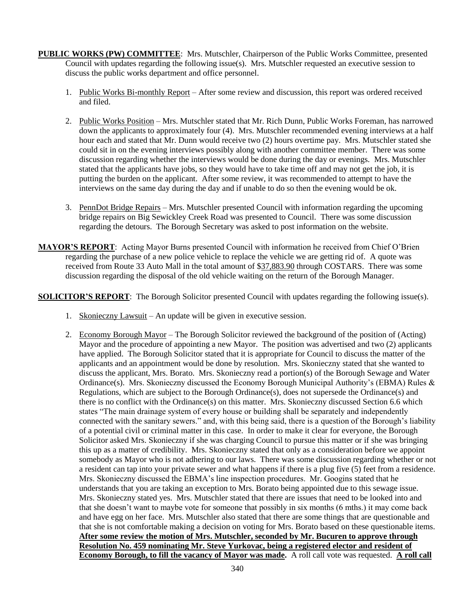- **PUBLIC WORKS (PW) COMMITTEE**: Mrs. Mutschler, Chairperson of the Public Works Committee, presented Council with updates regarding the following issue(s). Mrs. Mutschler requested an executive session to discuss the public works department and office personnel.
	- 1. Public Works Bi-monthly Report After some review and discussion, this report was ordered received and filed.
	- 2. Public Works Position Mrs. Mutschler stated that Mr. Rich Dunn, Public Works Foreman, has narrowed down the applicants to approximately four (4). Mrs. Mutschler recommended evening interviews at a half hour each and stated that Mr. Dunn would receive two (2) hours overtime pay. Mrs. Mutschler stated she could sit in on the evening interviews possibly along with another committee member. There was some discussion regarding whether the interviews would be done during the day or evenings. Mrs. Mutschler stated that the applicants have jobs, so they would have to take time off and may not get the job, it is putting the burden on the applicant. After some review, it was recommended to attempt to have the interviews on the same day during the day and if unable to do so then the evening would be ok.
	- 3. PennDot Bridge Repairs Mrs. Mutschler presented Council with information regarding the upcoming bridge repairs on Big Sewickley Creek Road was presented to Council. There was some discussion regarding the detours. The Borough Secretary was asked to post information on the website.
- **MAYOR'S REPORT**: Acting Mayor Burns presented Council with information he received from Chief O'Brien regarding the purchase of a new police vehicle to replace the vehicle we are getting rid of. A quote was received from Route 33 Auto Mall in the total amount of \$37,883.90 through COSTARS. There was some discussion regarding the disposal of the old vehicle waiting on the return of the Borough Manager.

**SOLICITOR'S REPORT:** The Borough Solicitor presented Council with updates regarding the following issue(s).

- 1. Skonieczny Lawsuit An update will be given in executive session.
- 2. Economy Borough Mayor The Borough Solicitor reviewed the background of the position of (Acting) Mayor and the procedure of appointing a new Mayor. The position was advertised and two (2) applicants have applied. The Borough Solicitor stated that it is appropriate for Council to discuss the matter of the applicants and an appointment would be done by resolution. Mrs. Skonieczny stated that she wanted to discuss the applicant, Mrs. Borato. Mrs. Skonieczny read a portion(s) of the Borough Sewage and Water Ordinance(s). Mrs. Skonieczny discussed the Economy Borough Municipal Authority's (EBMA) Rules & Regulations, which are subject to the Borough Ordinance(s), does not supersede the Ordinance(s) and there is no conflict with the Ordinance(s) on this matter. Mrs. Skonieczny discussed Section 6.6 which states "The main drainage system of every house or building shall be separately and independently connected with the sanitary sewers." and, with this being said, there is a question of the Borough's liability of a potential civil or criminal matter in this case. In order to make it clear for everyone, the Borough Solicitor asked Mrs. Skonieczny if she was charging Council to pursue this matter or if she was bringing this up as a matter of credibility. Mrs. Skonieczny stated that only as a consideration before we appoint somebody as Mayor who is not adhering to our laws. There was some discussion regarding whether or not a resident can tap into your private sewer and what happens if there is a plug five (5) feet from a residence. Mrs. Skonieczny discussed the EBMA's line inspection procedures. Mr. Googins stated that he understands that you are taking an exception to Mrs. Borato being appointed due to this sewage issue. Mrs. Skonieczny stated yes. Mrs. Mutschler stated that there are issues that need to be looked into and that she doesn't want to maybe vote for someone that possibly in six months (6 mths.) it may come back and have egg on her face. Mrs. Mutschler also stated that there are some things that are questionable and that she is not comfortable making a decision on voting for Mrs. Borato based on these questionable items. **After some review the motion of Mrs. Mutschler, seconded by Mr. Bucuren to approve through Resolution No. 459 nominating Mr. Steve Yurkovac, being a registered elector and resident of Economy Borough, to fill the vacancy of Mayor was made.** A roll call vote was requested. **A roll call**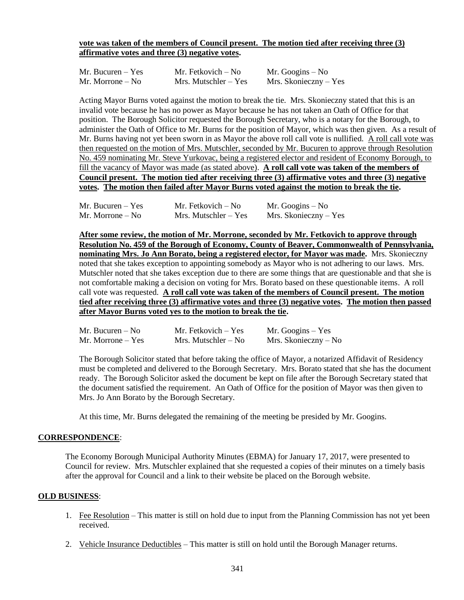### **vote was taken of the members of Council present. The motion tied after receiving three (3) affirmative votes and three (3) negative votes.**

| Mr. Bucuren $-$ Yes | Mr. Fetkovich – No     | Mr. Googins $-$ No      |
|---------------------|------------------------|-------------------------|
| Mr. Morrone – No    | $Mrs.$ Mutschler – Yes | $Mrs.$ Skonieczny – Yes |

Acting Mayor Burns voted against the motion to break the tie. Mrs. Skonieczny stated that this is an invalid vote because he has no power as Mayor because he has not taken an Oath of Office for that position. The Borough Solicitor requested the Borough Secretary, who is a notary for the Borough, to administer the Oath of Office to Mr. Burns for the position of Mayor, which was then given. As a result of Mr. Burns having not yet been sworn in as Mayor the above roll call vote is nullified. A roll call vote was then requested on the motion of Mrs. Mutschler, seconded by Mr. Bucuren to approve through Resolution No. 459 nominating Mr. Steve Yurkovac, being a registered elector and resident of Economy Borough, to fill the vacancy of Mayor was made (as stated above). **A roll call vote was taken of the members of Council present. The motion tied after receiving three (3) affirmative votes and three (3) negative votes. The motion then failed after Mayor Burns voted against the motion to break the tie.**

| Mr. Bucuren $-$ Yes | Mr. Fetkovich – No     | Mr. Googins $-$ No    |
|---------------------|------------------------|-----------------------|
| Mr. Morrone $-$ No  | $Mrs.$ Mutschler – Yes | Mrs. Skonieczny – Yes |

**After some review, the motion of Mr. Morrone, seconded by Mr. Fetkovich to approve through Resolution No. 459 of the Borough of Economy, County of Beaver, Commonwealth of Pennsylvania, nominating Mrs. Jo Ann Borato, being a registered elector, for Mayor was made.** Mrs. Skonieczny noted that she takes exception to appointing somebody as Mayor who is not adhering to our laws. Mrs. Mutschler noted that she takes exception due to there are some things that are questionable and that she is not comfortable making a decision on voting for Mrs. Borato based on these questionable items. A roll call vote was requested. **A roll call vote was taken of the members of Council present. The motion tied after receiving three (3) affirmative votes and three (3) negative votes. The motion then passed after Mayor Burns voted yes to the motion to break the tie.**

| Mr. Bucuren $-$ No  | Mr. Fetkovich $-$ Yes | Mr. Googins $-$ Yes  |
|---------------------|-----------------------|----------------------|
| Mr. Morrone $-$ Yes | Mrs. Mutschler $-$ No | Mrs. Skonieczny – No |

The Borough Solicitor stated that before taking the office of Mayor, a notarized Affidavit of Residency must be completed and delivered to the Borough Secretary. Mrs. Borato stated that she has the document ready. The Borough Solicitor asked the document be kept on file after the Borough Secretary stated that the document satisfied the requirement. An Oath of Office for the position of Mayor was then given to Mrs. Jo Ann Borato by the Borough Secretary.

At this time, Mr. Burns delegated the remaining of the meeting be presided by Mr. Googins.

### **CORRESPONDENCE**:

The Economy Borough Municipal Authority Minutes (EBMA) for January 17, 2017, were presented to Council for review. Mrs. Mutschler explained that she requested a copies of their minutes on a timely basis after the approval for Council and a link to their website be placed on the Borough website.

#### **OLD BUSINESS**:

- 1. Fee Resolution This matter is still on hold due to input from the Planning Commission has not yet been received.
- 2. Vehicle Insurance Deductibles This matter is still on hold until the Borough Manager returns.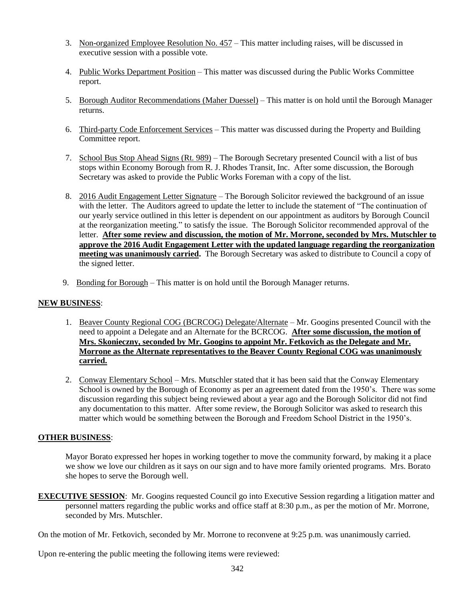- 3. Non-organized Employee Resolution No. 457 This matter including raises, will be discussed in executive session with a possible vote.
- 4. Public Works Department Position This matter was discussed during the Public Works Committee report.
- 5. Borough Auditor Recommendations (Maher Duessel) This matter is on hold until the Borough Manager returns.
- 6. Third-party Code Enforcement Services This matter was discussed during the Property and Building Committee report.
- 7. School Bus Stop Ahead Signs (Rt. 989) The Borough Secretary presented Council with a list of bus stops within Economy Borough from R. J. Rhodes Transit, Inc. After some discussion, the Borough Secretary was asked to provide the Public Works Foreman with a copy of the list.
- 8. 2016 Audit Engagement Letter Signature The Borough Solicitor reviewed the background of an issue with the letter. The Auditors agreed to update the letter to include the statement of "The continuation of our yearly service outlined in this letter is dependent on our appointment as auditors by Borough Council at the reorganization meeting." to satisfy the issue. The Borough Solicitor recommended approval of the letter. **After some review and discussion, the motion of Mr. Morrone, seconded by Mrs. Mutschler to approve the 2016 Audit Engagement Letter with the updated language regarding the reorganization meeting was unanimously carried.** The Borough Secretary was asked to distribute to Council a copy of the signed letter.
- 9. Bonding for Borough This matter is on hold until the Borough Manager returns.

## **NEW BUSINESS**:

- 1. Beaver County Regional COG (BCRCOG) Delegate/Alternate Mr. Googins presented Council with the need to appoint a Delegate and an Alternate for the BCRCOG. **After some discussion, the motion of Mrs. Skonieczny, seconded by Mr. Googins to appoint Mr. Fetkovich as the Delegate and Mr. Morrone as the Alternate representatives to the Beaver County Regional COG was unanimously carried.**
- 2. Conway Elementary School Mrs. Mutschler stated that it has been said that the Conway Elementary School is owned by the Borough of Economy as per an agreement dated from the 1950's. There was some discussion regarding this subject being reviewed about a year ago and the Borough Solicitor did not find any documentation to this matter. After some review, the Borough Solicitor was asked to research this matter which would be something between the Borough and Freedom School District in the 1950's.

# **OTHER BUSINESS**:

Mayor Borato expressed her hopes in working together to move the community forward, by making it a place we show we love our children as it says on our sign and to have more family oriented programs. Mrs. Borato she hopes to serve the Borough well.

**EXECUTIVE SESSION:** Mr. Googins requested Council go into Executive Session regarding a litigation matter and personnel matters regarding the public works and office staff at 8:30 p.m., as per the motion of Mr. Morrone, seconded by Mrs. Mutschler.

On the motion of Mr. Fetkovich, seconded by Mr. Morrone to reconvene at 9:25 p.m. was unanimously carried.

Upon re-entering the public meeting the following items were reviewed: